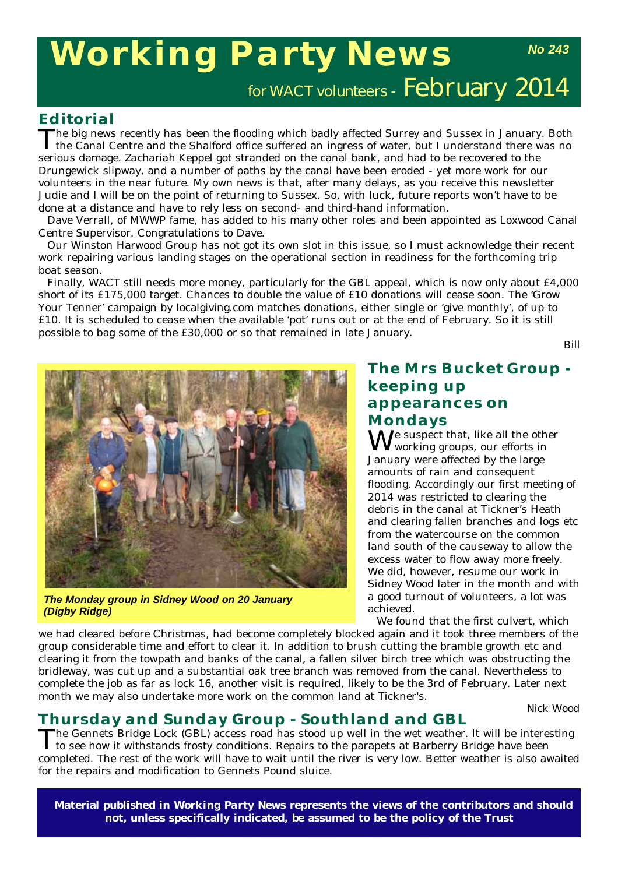# **Working Party News**

*No 243*

for WACT volunteers - February 2014

#### **Editorial**

The big news recently has been the flooding which badly affected Surrey and Sussex in January. Both the Canal Centre and the Shalford office suffered an ingress of water, but I understand there was no serious damage. *Zachariah Keppel* got stranded on the canal bank, and had to be recovered to the Drungewick slipway, and a number of paths by the canal have been eroded - yet more work for our volunteers in the near future. My own news is that, after many delays, as you receive this newsletter Judie and I will be on the point of returning to Sussex. So, with luck, future reports won't have to be done at a distance and have to rely less on second- and third-hand information.

Dave Verrall, of MWWP fame, has added to his many other roles and been appointed as Loxwood Canal Centre Supervisor. Congratulations to Dave.

Our Winston Harwood Group has not got its own slot in this issue, so I must acknowledge their recent work repairing various landing stages on the operational section in readiness for the forthcoming trip boat season.

Finally, WACT still needs more money, particularly for the GBL appeal, which is now only about £4,000 short of its £175,000 target. Chances to double the value of £10 donations will cease soon. The 'Grow Your Tenner' campaign by localgiving.com matches donations, either single or 'give monthly', of up to £10. It is scheduled to cease when the available 'pot' runs out or at the end of February. So it is still possible to bag some of the £30,000 or so that remained in late January.

*Bill*



*The Monday group in Sidney Wood on 20 January (Digby Ridge)*

#### **The Mrs Bucket Group keeping up appearances on Mondays**

We suspect that, like all the other working groups, our efforts in January were affected by the large amounts of rain and consequent flooding. Accordingly our first meeting of 2014 was restricted to clearing the debris in the canal at Tickner's Heath and clearing fallen branches and logs etc from the watercourse on the common land south of the causeway to allow the excess water to flow away more freely. We did, however, resume our work in Sidney Wood later in the month and with a good turnout of volunteers, a lot was achieved.

We found that the first culvert, which

we had cleared before Christmas, had become completely blocked again and it took three members of the group considerable time and effort to clear it. In addition to brush cutting the bramble growth etc and clearing it from the towpath and banks of the canal, a fallen silver birch tree which was obstructing the bridleway, was cut up and a substantial oak tree branch was removed from the canal. Nevertheless to complete the job as far as lock 16, another visit is required, likely to be the 3rd of February. Later next month we may also undertake more work on the common land at Tickner's.

*Nick Wood*

## **Thursday and Sunday Group - Southland and GBL<br>The Gennets Bridge Lock (GBL) access road has stood up well in the wet weather. It will be interesting**

The Gennets Bridge Lock (GBL) access road has stood up well in the wet weather. It will be interesting to see how it withstands frosty conditions. Repairs to the parapets at Barberry Bridge have been completed. The rest of the work will have to wait until the river is very low. Better weather is also awaited for the repairs and modification to Gennets Pound sluice.

**Material published in** *Working Party News* **represents the views of the contributors and should not, unless specifically indicated, be assumed to be the policy of the Trust**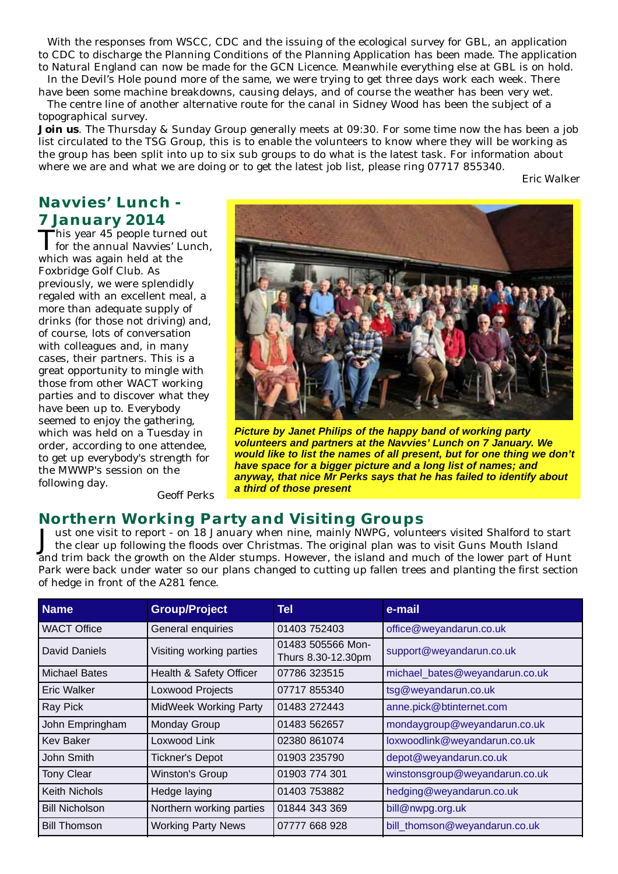With the responses from WSCC, CDC and the issuing of the ecological survey for GBL, an application to CDC to discharge the Planning Conditions of the Planning Application has been made. The application to Natural England can now be made for the GCN Licence. Meanwhile everything else at GBL is on hold.

In the Devil's Hole pound more of the same, we were trying to get three days work each week. There have been some machine breakdowns, causing delays, and of course the weather has been very wet.

The centre line of another alternative route for the canal in Sidney Wood has been the subject of a topographical survey.

**Join us**. The Thursday & Sunday Group generally meets at 09:30. For some time now the has been a job list circulated to the TSG Group, this is to enable the volunteers to know where they will be working as the group has been split into up to six sub groups to do what is the latest task. For information about where we are and what we are doing or to get the latest job list, please ring 07717 855340.

*Eric Walker*

### **Navvies' Lunch - 7 January 2014**<br>This year 45 people turned out

This year 45 people turned out for the annual Navvies' Lunch, which was again held at the Foxbridge Golf Club. As previously, we were splendidly regaled with an excellent meal, a more than adequate supply of drinks (for those not driving) and, of course, lots of conversation with colleagues and, in many cases, their partners. This is a great opportunity to mingle with those from other WACT working parties and to discover what they have been up to. Everybody seemed to enjoy the gathering, which was held on a Tuesday in order, according to one attendee, to get up everybody's strength for the MWWP's session on the following day.



*Picture by Janet Philips of the happy band of working party volunteers and partners at the Navvies' Lunch on 7 January. We would like to list the names of all present, but for one thing we don't have space for a bigger picture and a long list of names; and anyway, that nice Mr Perks says that he has failed to identify about a third of those present*

*Geoff Perks*

#### **Northern Working Party and Visiting Groups**

Just one visit to report - on 18 January when nine, mainly NWPG, volunteers visited Shalford to start the clear up following the floods over Christmas. The original plan was to visit Guns Mouth Island and trim back the growth on the Alder stumps. However, the island and much of the lower part of Hunt Park were back under water so our plans changed to cutting up fallen trees and planting the first section of hedge in front of the A281 fence.

| <b>Name</b>           | <b>Group/Project</b>         | Tel                                     | e-mail                         |
|-----------------------|------------------------------|-----------------------------------------|--------------------------------|
| <b>WACT Office</b>    | General enquiries            | 01403 752403                            | office@weyandarun.co.uk        |
| David Daniels         | Visiting working parties     | 01483 505566 Mon-<br>Thurs 8.30-12.30pm | support@weyandarun.co.uk       |
| <b>Michael Bates</b>  | Health & Safety Officer      | 07786 323515                            | michael_bates@weyandarun.co.uk |
| Eric Walker           | Loxwood Projects             | 07717 855340                            | tsg@weyandarun.co.uk           |
| Ray Pick              | <b>MidWeek Working Party</b> | 01483 272443                            | anne.pick@btinternet.com       |
| John Empringham       | Monday Group                 | 01483 562657                            | mondaygroup@weyandarun.co.uk   |
| Kev Baker             | Loxwood Link                 | 02380 861074                            | loxwoodlink@weyandarun.co.uk   |
| John Smith            | <b>Tickner's Depot</b>       | 01903 235790                            | depot@weyandarun.co.uk         |
| <b>Tony Clear</b>     | Winston's Group              | 01903 774 301                           | winstonsgroup@weyandarun.co.uk |
| Keith Nichols         | Hedge laying                 | 01403 753882                            | hedging@weyandarun.co.uk       |
| <b>Bill Nicholson</b> | Northern working parties     | 01844 343 369                           | bill@nwpg.org.uk               |
| <b>Bill Thomson</b>   | <b>Working Party News</b>    | 07777 668 928                           | bill thomson@weyandarun.co.uk  |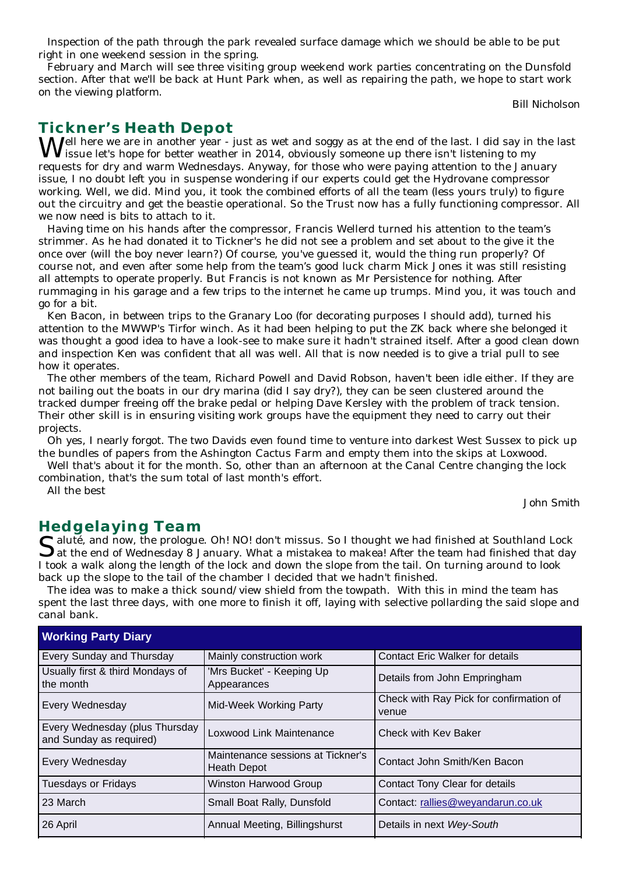Inspection of the path through the park revealed surface damage which we should be able to be put right in one weekend session in the spring.

February and March will see three visiting group weekend work parties concentrating on the Dunsfold section. After that we'll be back at Hunt Park when, as well as repairing the path, we hope to start work on the viewing platform.

*Bill Nicholson*

#### **Tickner's Heath Depot**

Well here we are in another year - just as wet and soggy as at the end of the last. I did say in the last issue let's hope for better weather in 2014, obviously someone up there isn't listening to my requests for dry and warm Wednesdays. Anyway, for those who were paying attention to the January issue, I no doubt left you in suspense wondering if our experts could get the Hydrovane compressor working. Well, we did. Mind you, it took the combined efforts of all the team (less yours truly) to figure out the circuitry and get the beastie operational. So the Trust now has a fully functioning compressor. All we now need is bits to attach to it.

Having time on his hands after the compressor, Francis Wellerd turned his attention to the team's strimmer. As he had donated it to Tickner's he did not see a problem and set about to the give it the once over (will the boy never learn?) Of course, you've guessed it, would the thing run properly? Of course not, and even after some help from the team's good luck charm Mick Jones it was still resisting all attempts to operate properly. But Francis is not known as Mr Persistence for nothing. After rummaging in his garage and a few trips to the internet he came up trumps. Mind you, it was touch and go for a bit.

Ken Bacon, in between trips to the Granary Loo (for decorating purposes I should add), turned his attention to the MWWP's Tirfor winch. As it had been helping to put the ZK back where she belonged it was thought a good idea to have a look-see to make sure it hadn't strained itself. After a good clean down and inspection Ken was confident that all was well. All that is now needed is to give a trial pull to see how it operates.

The other members of the team, Richard Powell and David Robson, haven't been idle either. If they are not bailing out the boats in our dry marina (did I say dry?), they can be seen clustered around the tracked dumper freeing off the brake pedal or helping Dave Kersley with the problem of track tension. Their other skill is in ensuring visiting work groups have the equipment they need to carry out their projects.

Oh yes, I nearly forgot. The two Davids even found time to venture into darkest West Sussex to pick up the bundles of papers from the Ashington Cactus Farm and empty them into the skips at Loxwood.

Well that's about it for the month. So, other than an afternoon at the Canal Centre changing the lock combination, that's the sum total of last month's effort.

All the best

*John Smith*

#### **Hedgelaying Team**

Saluté, and now, the prologue. Oh! NO! don't missus. So I thought we had finished at Southland Lock at the end of Wednesday 8 January. What a mistakea to makea! After the team had finished that day I took a walk along the length of the lock and down the slope from the tail. On turning around to look back up the slope to the tail of the chamber I decided that we hadn't finished.

The idea was to make a thick sound/view shield from the towpath. With this in mind the team has spent the last three days, with one more to finish it off, laying with selective pollarding the said slope and canal bank.

| <b>Working Party Diary</b>                                |                                                         |                                                  |  |  |
|-----------------------------------------------------------|---------------------------------------------------------|--------------------------------------------------|--|--|
| Every Sunday and Thursday                                 | Mainly construction work                                | <b>Contact Eric Walker for details</b>           |  |  |
| Usually first & third Mondays of<br>the month             | 'Mrs Bucket' - Keeping Up<br>Appearances                | Details from John Empringham                     |  |  |
| Every Wednesday                                           | <b>Mid-Week Working Party</b>                           | Check with Ray Pick for confirmation of<br>venue |  |  |
| Every Wednesday (plus Thursday<br>and Sunday as required) | Loxwood Link Maintenance                                | Check with Key Baker                             |  |  |
| Every Wednesday                                           | Maintenance sessions at Tickner's<br><b>Heath Depot</b> | Contact John Smith/Ken Bacon                     |  |  |
| <b>Tuesdays or Fridays</b>                                | Winston Harwood Group                                   | Contact Tony Clear for details                   |  |  |
| 23 March                                                  | Small Boat Rally, Dunsfold                              | Contact: rallies@weyandarun.co.uk                |  |  |
| 26 April                                                  | Annual Meeting, Billingshurst                           | Details in next Wey-South                        |  |  |